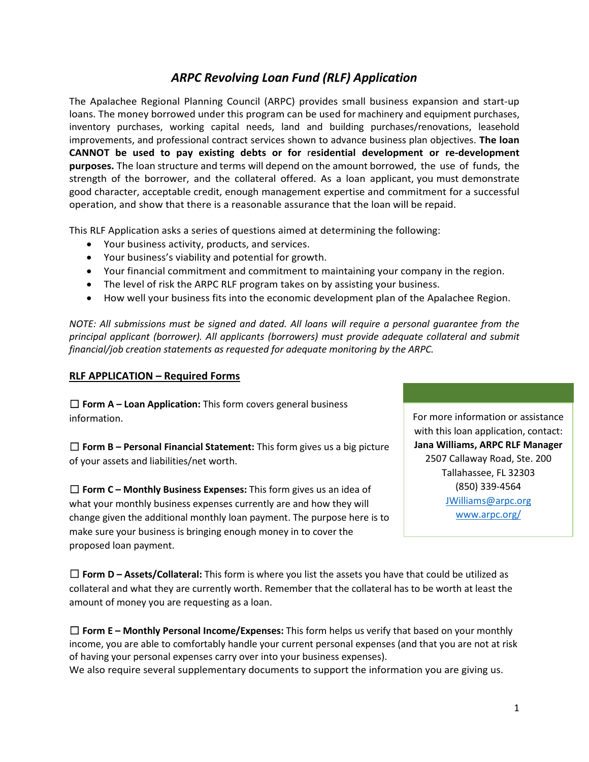# *ARPC Revolving Loan Fund (RLF) Application*

The Apalachee Regional Planning Council (ARPC) provides small business expansion and start-up loans. The money borrowed under this program can be used for machinery and equipment purchases, inventory purchases, working capital needs, land and building purchases/renovations, leasehold improvements, and professional contract services shown to advance business plan objectives. **The loan CANNOT be used to pay existing debts or for** r**esidential development or re-development purposes.** The loan structure and terms will depend on the amount borrowed, the use of funds, the strength of the borrower, and the collateral offered. As a loan applicant, you must demonstrate good character, acceptable credit, enough management expertise and commitment for a successful operation, and show that there is a reasonable assurance that the loan will be repaid.

This RLF Application asks a series of questions aimed at determining the following:

- Your business activity, products, and services.
- Your business's viability and potential for growth.
- Your financial commitment and commitment to maintaining your company in the region.
- The level of risk the ARPC RLF program takes on by assisting your business.
- How well your business fits into the economic development plan of the Apalachee Region.

*NOTE: All submissions must be signed and dated. All loans will require a personal guarantee from the principal applicant (borrower). All applicants (borrowers) must provide adequate collateral and submit financial/job creation statements as requested for adequate monitoring by the ARPC.* 

### **RLF APPLICATION – Required Forms**

☐ **Form A – Loan Application:** This form covers general business information.

☐ **Form B – Personal Financial Statement:** This form gives us a big picture of your assets and liabilities/net worth.

☐ **Form C – Monthly Business Expenses:** This form gives us an idea of what your monthly business expenses currently are and how they will change given the additional monthly loan payment. The purpose here is to make sure your business is bringing enough money in to cover the proposed loan payment.

For more information or assistance with this loan application, contact: **Jana Williams, ARPC RLF Manager** 2507 Callaway Road, Ste. 200 Tallahassee, FL 32303 (850) 339-4564 [JWilliams@arpc.org](mailto:JWilliams@arpc.org) [www.arpc.org/](https://www.arpc.org/)

☐ **Form D – Assets/Collateral:** This form is where you list the assets you have that could be utilized as collateral and what they are currently worth. Remember that the collateral has to be worth at least the amount of money you are requesting as a loan.

☐ **Form E – Monthly Personal Income/Expenses:** This form helps us verify that based on your monthly income, you are able to comfortably handle your current personal expenses (and that you are not at risk of having your personal expenses carry over into your business expenses). We also require several supplementary documents to support the information you are giving us.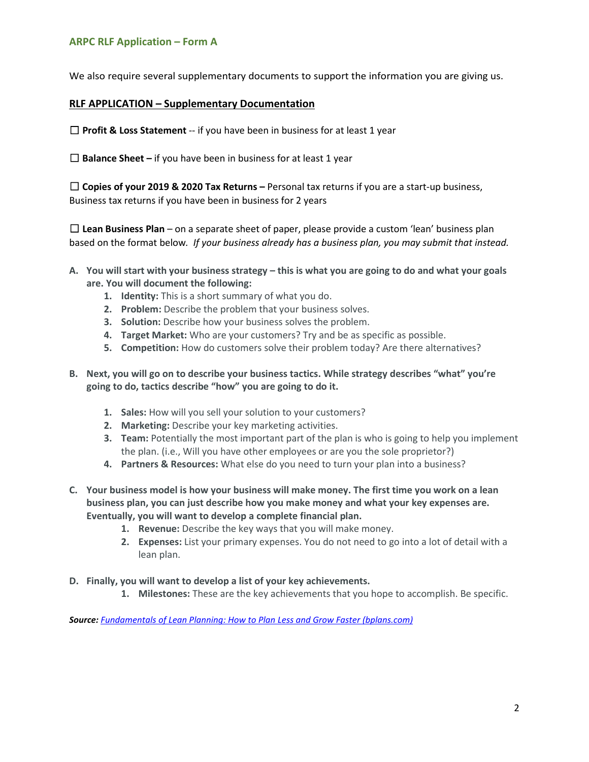We also require several supplementary documents to support the information you are giving us.

### **RLF APPLICATION – Supplementary Documentation**

□ **Profit & Loss Statement** -- if you have been in business for at least 1 year

□ **Balance Sheet** – if you have been in business for at least 1 year

☐ **Copies of your 2019 & 2020 Tax Returns –** Personal tax returns if you are a start-up business, Business tax returns if you have been in business for 2 years

☐ **Lean Business Plan** – on a separate sheet of paper, please provide a custom 'lean' business plan based on the format below*. If your business already has a business plan, you may submit that instead.*

- **A. You will start with your business strategy this is what you are going to do and what your goals are. You will document the following:**
	- **1. Identity:** This is a short summary of what you do.
	- **2. Problem:** Describe the problem that your business solves.
	- **3. Solution:** Describe how your business solves the problem.
	- **4. Target Market:** Who are your customers? Try and be as specific as possible.
	- **5. Competition:** How do customers solve their problem today? Are there alternatives?
- **B. Next, you will go on to describe your business tactics. While strategy describes "what" you're going to do, tactics describe "how" you are going to do it.**
	- **1. Sales:** How will you sell your solution to your customers?
	- **2. Marketing:** Describe your key marketing activities.
	- **3. Team:** Potentially the most important part of the plan is who is going to help you implement the plan. (i.e., Will you have other employees or are you the sole proprietor?)
	- **4. Partners & Resources:** What else do you need to turn your plan into a business?
- **C. Your business model is how your business will make money. The first time you work on a lean business plan, you can just describe how you make money and what your key expenses are. Eventually, you will want to develop a complete financial plan.**
	- **1. Revenue:** Describe the key ways that you will make money.
	- **2. Expenses:** List your primary expenses. You do not need to go into a lot of detail with a lean plan.
- **D. Finally, you will want to develop a list of your key achievements.**
	- **1. Milestones:** These are the key achievements that you hope to accomplish. Be specific.

*Source: [Fundamentals of Lean Planning: How to Plan Less and Grow Faster \(bplans.com\)](https://articles.bplans.com/introducing-lean-planning-how-to-plan-less-and-grow-faster/)*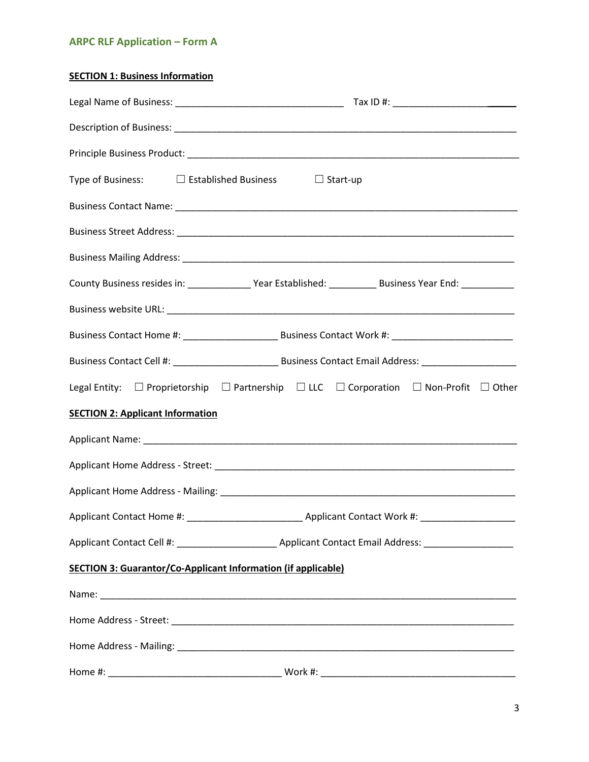# **SECTION 1: Business Information**

| Type of Business: $\square$ Established Business $\square$ Start-up                                           |
|---------------------------------------------------------------------------------------------------------------|
|                                                                                                               |
|                                                                                                               |
|                                                                                                               |
| County Business resides in: ________________Year Established: ______________Business Year End: ______________ |
|                                                                                                               |
|                                                                                                               |
|                                                                                                               |
| Legal Entity: □ Proprietorship □ Partnership □ LLC □ Corporation □ Non-Profit □ Other                         |
| <b>SECTION 2: Applicant Information</b>                                                                       |
|                                                                                                               |
|                                                                                                               |
|                                                                                                               |
|                                                                                                               |
|                                                                                                               |
| <b>SECTION 3: Guarantor/Co-Applicant Information (if applicable)</b>                                          |
|                                                                                                               |
|                                                                                                               |
|                                                                                                               |
|                                                                                                               |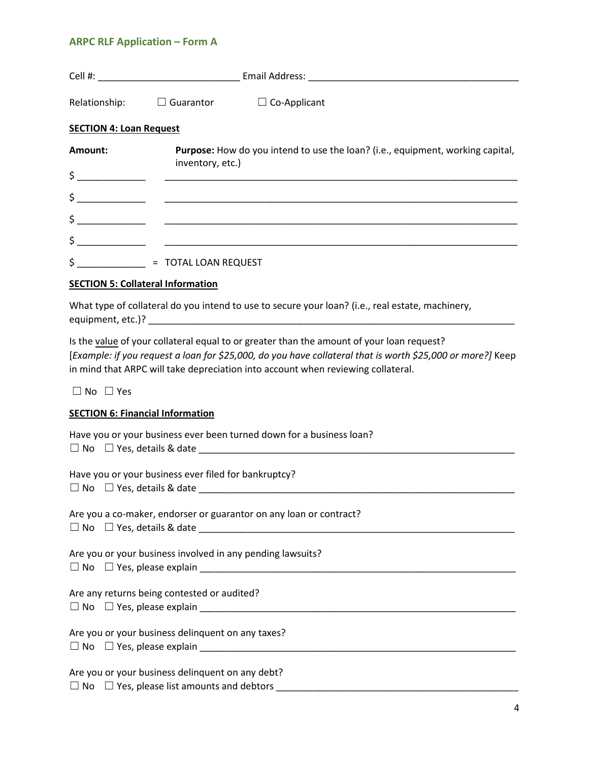|                                                                                                  | Relationship: $\Box$ Guarantor $\Box$ Co-Applicant                                                                                                                                                                                                                                          |  |  |  |
|--------------------------------------------------------------------------------------------------|---------------------------------------------------------------------------------------------------------------------------------------------------------------------------------------------------------------------------------------------------------------------------------------------|--|--|--|
| <b>SECTION 4: Loan Request</b>                                                                   |                                                                                                                                                                                                                                                                                             |  |  |  |
| Amount:                                                                                          | Purpose: How do you intend to use the loan? (i.e., equipment, working capital,<br>inventory, etc.)                                                                                                                                                                                          |  |  |  |
|                                                                                                  | $\frac{1}{2}$                                                                                                                                                                                                                                                                               |  |  |  |
|                                                                                                  |                                                                                                                                                                                                                                                                                             |  |  |  |
|                                                                                                  |                                                                                                                                                                                                                                                                                             |  |  |  |
|                                                                                                  |                                                                                                                                                                                                                                                                                             |  |  |  |
|                                                                                                  | $$ \underline{\hspace{2cm}} \underline{\hspace{2cm}} = TOTAL LOAN REQUEST$                                                                                                                                                                                                                  |  |  |  |
| <b>SECTION 5: Collateral Information</b>                                                         |                                                                                                                                                                                                                                                                                             |  |  |  |
| What type of collateral do you intend to use to secure your loan? (i.e., real estate, machinery, |                                                                                                                                                                                                                                                                                             |  |  |  |
|                                                                                                  | Is the value of your collateral equal to or greater than the amount of your loan request?<br>[Example: if you request a loan for \$25,000, do you have collateral that is worth \$25,000 or more?] Keep<br>in mind that ARPC will take depreciation into account when reviewing collateral. |  |  |  |

☐ No ☐ Yes

## **SECTION 6: Financial Information**

| Have you or your business ever been turned down for a business loan?                       |
|--------------------------------------------------------------------------------------------|
|                                                                                            |
| Have you or your business ever filed for bankruptcy?                                       |
| Are you a co-maker, endorser or guarantor on any loan or contract?                         |
| Are you or your business involved in any pending lawsuits?                                 |
| Are any returns being contested or audited?<br>$\Box$ No $\Box$ Yes, please explain $\Box$ |
| Are you or your business delinquent on any taxes?                                          |
| Are you or your business delinquent on any debt?                                           |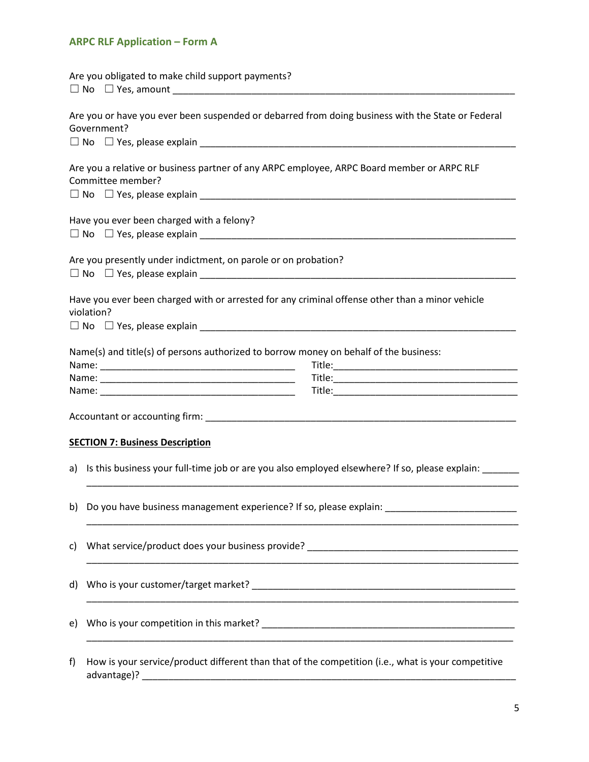|    | Are you obligated to make child support payments?                                                                |
|----|------------------------------------------------------------------------------------------------------------------|
|    | Are you or have you ever been suspended or debarred from doing business with the State or Federal<br>Government? |
|    |                                                                                                                  |
|    | Are you a relative or business partner of any ARPC employee, ARPC Board member or ARPC RLF<br>Committee member?  |
|    | Have you ever been charged with a felony?                                                                        |
|    | Are you presently under indictment, on parole or on probation?                                                   |
|    | Have you ever been charged with or arrested for any criminal offense other than a minor vehicle<br>violation?    |
|    | Name(s) and title(s) of persons authorized to borrow money on behalf of the business:                            |
|    |                                                                                                                  |
|    |                                                                                                                  |
|    |                                                                                                                  |
|    | <b>SECTION 7: Business Description</b>                                                                           |
|    | a) Is this business your full-time job or are you also employed elsewhere? If so, please explain:                |
|    | b) Do you have business management experience? If so, please explain: _____________________________              |
| C) |                                                                                                                  |
| d) |                                                                                                                  |
| e) |                                                                                                                  |
| f) | How is your service/product different than that of the competition (i.e., what is your competitive               |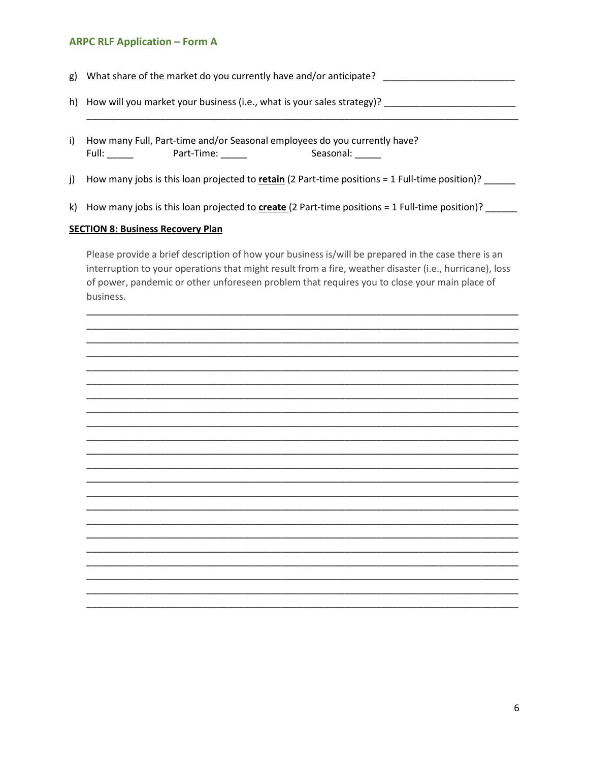- g) What share of the market do you currently have and/or anticipate?
- h) How will you market your business (i.e., what is your sales strategy)? \_\_\_\_\_\_\_\_\_\_\_\_\_\_\_\_\_\_\_\_\_\_\_\_\_\_
- i) How many Full, Part-time and/or Seasonal employees do you currently have?
- How many jobs is this loan projected to retain (2 Part-time positions = 1 Full-time position)? \_\_\_\_\_ j)
- k) How many jobs is this loan projected to  $\frac{create}{2}$  Part-time positions = 1 Full-time position)?

#### **SECTION 8: Business Recovery Plan**

Please provide a brief description of how your business is/will be prepared in the case there is an interruption to your operations that might result from a fire, weather disaster (i.e., hurricane), loss of power, pandemic or other unforeseen problem that requires you to close your main place of business.

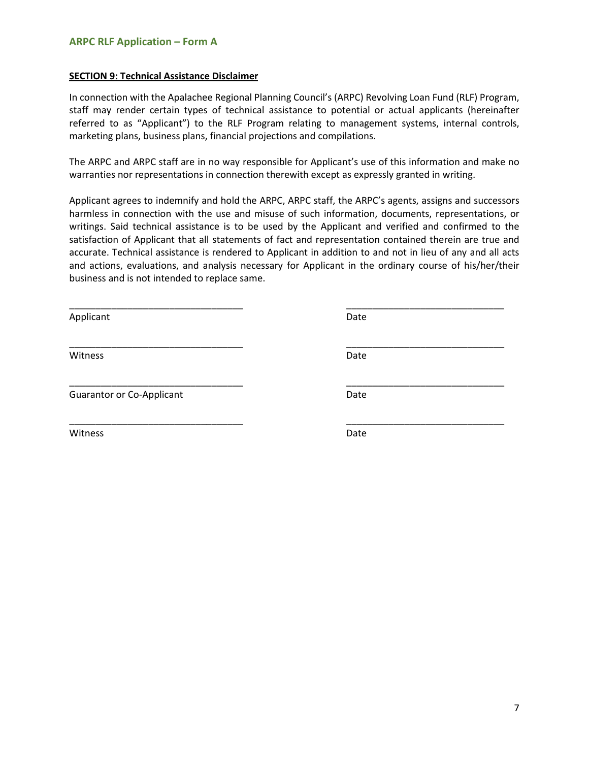#### **SECTION 9: Technical Assistance Disclaimer**

In connection with the Apalachee Regional Planning Council's (ARPC) Revolving Loan Fund (RLF) Program, staff may render certain types of technical assistance to potential or actual applicants (hereinafter referred to as "Applicant") to the RLF Program relating to management systems, internal controls, marketing plans, business plans, financial projections and compilations.

The ARPC and ARPC staff are in no way responsible for Applicant's use of this information and make no warranties nor representations in connection therewith except as expressly granted in writing.

Applicant agrees to indemnify and hold the ARPC, ARPC staff, the ARPC's agents, assigns and successors harmless in connection with the use and misuse of such information, documents, representations, or writings. Said technical assistance is to be used by the Applicant and verified and confirmed to the satisfaction of Applicant that all statements of fact and representation contained therein are true and accurate. Technical assistance is rendered to Applicant in addition to and not in lieu of any and all acts and actions, evaluations, and analysis necessary for Applicant in the ordinary course of his/her/their business and is not intended to replace same.

Applicant Date Date Date

Guarantor or Co-Applicant Date Date

\_\_\_\_\_\_\_\_\_\_\_\_\_\_\_\_\_\_\_\_\_\_\_\_\_\_\_\_\_\_\_\_\_ \_\_\_\_\_\_\_\_\_\_\_\_\_\_\_\_\_\_\_\_\_\_\_\_\_\_\_\_\_\_ \_\_\_\_\_\_\_\_\_\_\_\_\_\_\_\_\_\_\_\_\_\_\_\_\_\_\_\_\_\_\_\_\_ \_\_\_\_\_\_\_\_\_\_\_\_\_\_\_\_\_\_\_\_\_\_\_\_\_\_\_\_\_\_ Witness Date \_\_\_\_\_\_\_\_\_\_\_\_\_\_\_\_\_\_\_\_\_\_\_\_\_\_\_\_\_\_\_\_\_ \_\_\_\_\_\_\_\_\_\_\_\_\_\_\_\_\_\_\_\_\_\_\_\_\_\_\_\_\_\_ \_\_\_\_\_\_\_\_\_\_\_\_\_\_\_\_\_\_\_\_\_\_\_\_\_\_\_\_\_\_\_\_\_ \_\_\_\_\_\_\_\_\_\_\_\_\_\_\_\_\_\_\_\_\_\_\_\_\_\_\_\_\_\_ Witness Date